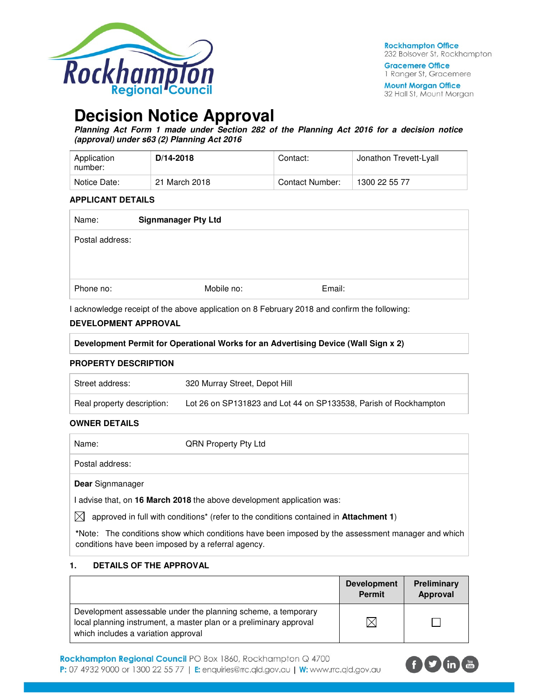

**Gracemere Office** 1 Ranger St, Gracemere

**Mount Morgan Office** 32 Hall St, Mount Morgan

# **Decision Notice Approval**

**Planning Act Form 1 made under Section 282 of the Planning Act 2016 for a decision notice (approval) under s63 (2) Planning Act 2016** 

| Application<br>number: | $D/14 - 2018$ | Contact:        | Jonathon Trevett-Lyall |
|------------------------|---------------|-----------------|------------------------|
| Notice Date:           | 21 March 2018 | Contact Number: | 1300 22 55 77          |

### **APPLICANT DETAILS**

| Name:           | <b>Signmanager Pty Ltd</b> |            |        |  |
|-----------------|----------------------------|------------|--------|--|
| Postal address: |                            |            |        |  |
|                 |                            |            |        |  |
|                 |                            |            |        |  |
| Phone no:       |                            | Mobile no: | Email: |  |

I acknowledge receipt of the above application on 8 February 2018 and confirm the following:

## **DEVELOPMENT APPROVAL**

| Development Permit for Operational Works for an Advertising Device (Wall Sign x 2) |  |  |  |
|------------------------------------------------------------------------------------|--|--|--|
|                                                                                    |  |  |  |

## **PROPERTY DESCRIPTION**

| Street address:            | 320 Murray Street, Depot Hill                                    |  |
|----------------------------|------------------------------------------------------------------|--|
| Real property description: | Lot 26 on SP131823 and Lot 44 on SP133538, Parish of Rockhampton |  |

## **OWNER DETAILS**

| Name:                   | <b>QRN Property Pty Ltd</b>                                          |
|-------------------------|----------------------------------------------------------------------|
| Postal address:         |                                                                      |
| <b>Dear</b> Signmanager |                                                                      |
|                         | advise that, on 16 March 2018 the above development application was: |

 $\bowtie$  approved in full with conditions<sup>\*</sup> (refer to the conditions contained in **Attachment 1**)

**\***Note:The conditions show which conditions have been imposed by the assessment manager and which conditions have been imposed by a referral agency.

## **1. DETAILS OF THE APPROVAL**

|                                                                                                                                                                            | <b>Development</b><br><b>Permit</b> | Preliminary<br>Approval |
|----------------------------------------------------------------------------------------------------------------------------------------------------------------------------|-------------------------------------|-------------------------|
| Development assessable under the planning scheme, a temporary<br>local planning instrument, a master plan or a preliminary approval<br>which includes a variation approval | $\times$                            |                         |

Rockhampton Regional Council PO Box 1860, Rockhampton Q 4700 **P:** 07 4932 9000 or 1300 22 55 77 | **E:** enquiries@rrc.qld.gov.au | W: www.rrc.qld.gov.au

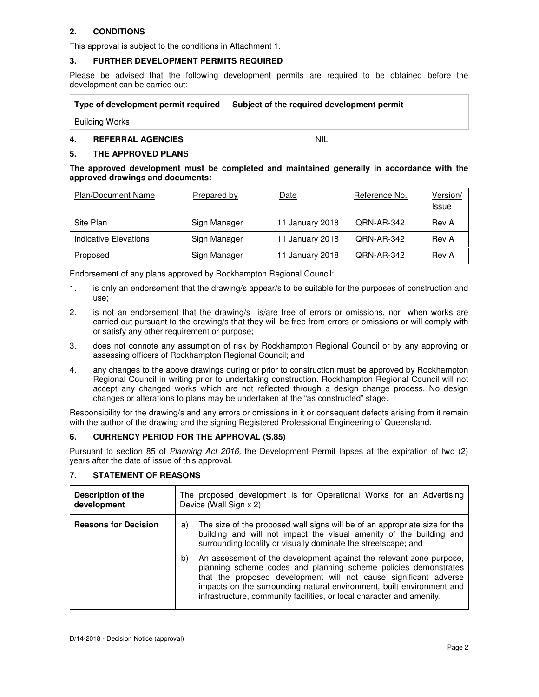## **2. CONDITIONS**

This approval is subject to the conditions in Attachment 1.

## **3. FURTHER DEVELOPMENT PERMITS REQUIRED**

Please be advised that the following development permits are required to be obtained before the development can be carried out:

| Type of development permit required | Subject of the required development permit |
|-------------------------------------|--------------------------------------------|
| Building Works                      |                                            |

## **4. REFERRAL AGENCIES** NIL

## **5. THE APPROVED PLANS**

| The approved development must be completed and maintained generally in accordance with the |  |  |  |  |  |
|--------------------------------------------------------------------------------------------|--|--|--|--|--|
| approved drawings and documents:                                                           |  |  |  |  |  |

| <b>Plan/Document Name</b> | Prepared by  | Date            | Reference No.     | Version/<br><u>Issue</u> |
|---------------------------|--------------|-----------------|-------------------|--------------------------|
| Site Plan                 | Sign Manager | 11 January 2018 | QRN-AR-342        | Rev A                    |
| Indicative Elevations     | Sign Manager | 11 January 2018 | QRN-AR-342        | Rev A                    |
| Proposed                  | Sign Manager | 11 January 2018 | <b>QRN-AR-342</b> | Rev A                    |

Endorsement of any plans approved by Rockhampton Regional Council:

- 1. is only an endorsement that the drawing/s appear/s to be suitable for the purposes of construction and use;
- 2. is not an endorsement that the drawing/s is/are free of errors or omissions, nor when works are carried out pursuant to the drawing/s that they will be free from errors or omissions or will comply with or satisfy any other requirement or purpose;
- 3. does not connote any assumption of risk by Rockhampton Regional Council or by any approving or assessing officers of Rockhampton Regional Council; and
- 4. any changes to the above drawings during or prior to construction must be approved by Rockhampton Regional Council in writing prior to undertaking construction. Rockhampton Regional Council will not accept any changed works which are not reflected through a design change process. No design changes or alterations to plans may be undertaken at the "as constructed" stage.

Responsibility for the drawing/s and any errors or omissions in it or consequent defects arising from it remain with the author of the drawing and the signing Registered Professional Engineering of Queensland.

## **6. CURRENCY PERIOD FOR THE APPROVAL (S.85)**

Pursuant to section 85 of Planning Act 2016, the Development Permit lapses at the expiration of two (2) years after the date of issue of this approval.

| <b>Description of the</b><br>development | The proposed development is for Operational Works for an Advertising<br>Device (Wall Sign x 2)                                                                                                                                                                                                                                                                     |  |  |  |  |
|------------------------------------------|--------------------------------------------------------------------------------------------------------------------------------------------------------------------------------------------------------------------------------------------------------------------------------------------------------------------------------------------------------------------|--|--|--|--|
| <b>Reasons for Decision</b>              | The size of the proposed wall signs will be of an appropriate size for the<br>a)<br>building and will not impact the visual amenity of the building and<br>surrounding locality or visually dominate the streetscape; and                                                                                                                                          |  |  |  |  |
|                                          | An assessment of the development against the relevant zone purpose,<br>b)<br>planning scheme codes and planning scheme policies demonstrates<br>that the proposed development will not cause significant adverse<br>impacts on the surrounding natural environment, built environment and<br>infrastructure, community facilities, or local character and amenity. |  |  |  |  |

## **7. STATEMENT OF REASONS**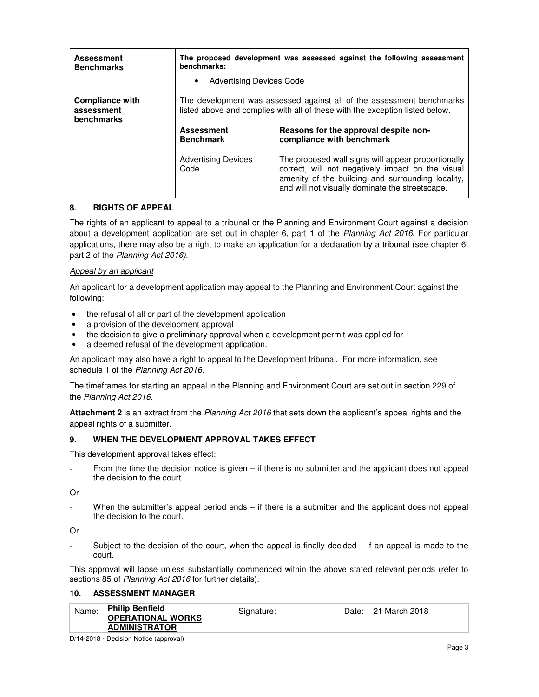| <b>Assessment</b><br><b>Benchmarks</b>             | The proposed development was assessed against the following assessment<br>benchmarks:<br><b>Advertising Devices Code</b><br>$\bullet$                 |                                                                                                                                                                                                                 |  |  |
|----------------------------------------------------|-------------------------------------------------------------------------------------------------------------------------------------------------------|-----------------------------------------------------------------------------------------------------------------------------------------------------------------------------------------------------------------|--|--|
| <b>Compliance with</b><br>assessment<br>benchmarks | The development was assessed against all of the assessment benchmarks<br>listed above and complies with all of these with the exception listed below. |                                                                                                                                                                                                                 |  |  |
|                                                    | <b>Assessment</b><br><b>Benchmark</b>                                                                                                                 | Reasons for the approval despite non-<br>compliance with benchmark                                                                                                                                              |  |  |
|                                                    | <b>Advertising Devices</b><br>Code                                                                                                                    | The proposed wall signs will appear proportionally<br>correct, will not negatively impact on the visual<br>amenity of the building and surrounding locality,<br>and will not visually dominate the streetscape. |  |  |

## **8. RIGHTS OF APPEAL**

The rights of an applicant to appeal to a tribunal or the Planning and Environment Court against a decision about a development application are set out in chapter 6, part 1 of the Planning Act 2016. For particular applications, there may also be a right to make an application for a declaration by a tribunal (see chapter 6, part 2 of the Planning Act 2016).

## Appeal by an applicant

An applicant for a development application may appeal to the Planning and Environment Court against the following:

- the refusal of all or part of the development application
- a provision of the development approval
- the decision to give a preliminary approval when a development permit was applied for
- a deemed refusal of the development application.

An applicant may also have a right to appeal to the Development tribunal. For more information, see schedule 1 of the Planning Act 2016.

The timeframes for starting an appeal in the Planning and Environment Court are set out in section 229 of the Planning Act 2016.

**Attachment 2** is an extract from the Planning Act 2016 that sets down the applicant's appeal rights and the appeal rights of a submitter.

### **9. WHEN THE DEVELOPMENT APPROVAL TAKES EFFECT**

This development approval takes effect:

From the time the decision notice is given  $-$  if there is no submitter and the applicant does not appeal the decision to the court.

Or

When the submitter's appeal period ends – if there is a submitter and the applicant does not appeal the decision to the court.

Or

Subject to the decision of the court, when the appeal is finally decided  $-$  if an appeal is made to the court.

This approval will lapse unless substantially commenced within the above stated relevant periods (refer to sections 85 of Planning Act 2016 for further details).

### **10. ASSESSMENT MANAGER**

| Name: | <b>Philip Benfield</b><br><b>OPERATIONAL WORKS</b><br><b>ADMINISTRATOR</b> | Signature: | Date: 21 March 2018 |
|-------|----------------------------------------------------------------------------|------------|---------------------|
|       |                                                                            |            |                     |

D/14-2018 - Decision Notice (approval)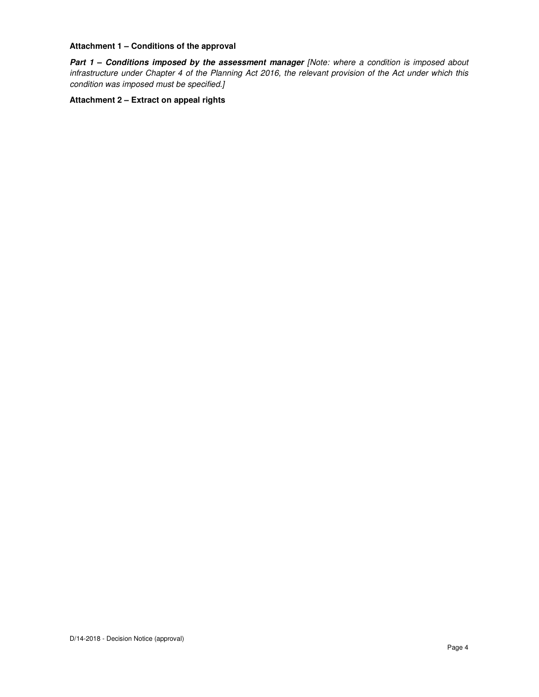## **Attachment 1 – Conditions of the approval**

Part 1 - Conditions imposed by the assessment manager [Note: where a condition is imposed about infrastructure under Chapter 4 of the Planning Act 2016, the relevant provision of the Act under which this condition was imposed must be specified.]

**Attachment 2 – Extract on appeal rights**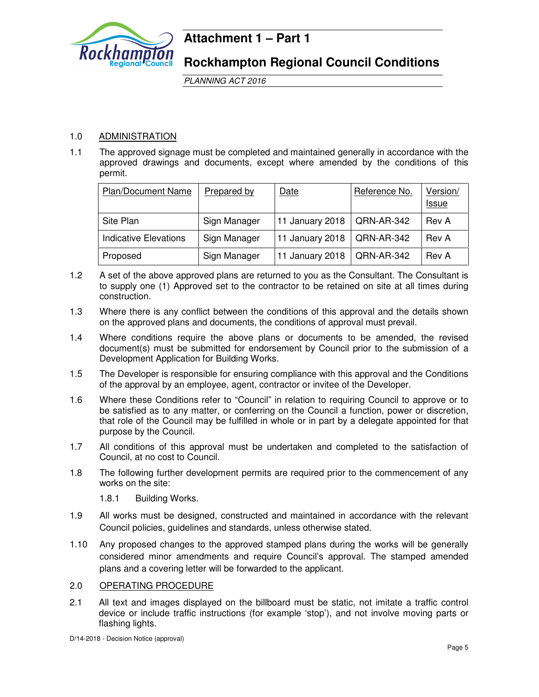

## **Attachment 1 – Part 1**

**Rockhampton Regional Council Conditions**

PLANNING ACT 2016

## 1.0 ADMINISTRATION

1.1 The approved signage must be completed and maintained generally in accordance with the approved drawings and documents, except where amended by the conditions of this permit.

| <b>Plan/Document Name</b> | Prepared by  | Date            | Reference No. | Version/<br><u>Issue</u> |
|---------------------------|--------------|-----------------|---------------|--------------------------|
| Site Plan                 | Sign Manager | 11 January 2018 | QRN-AR-342    | Rev A                    |
| Indicative Elevations     | Sign Manager | 11 January 2018 | QRN-AR-342    | Rev A                    |
| Proposed                  | Sign Manager | 11 January 2018 | QRN-AR-342    | Rev A                    |

- 1.2 A set of the above approved plans are returned to you as the Consultant. The Consultant is to supply one (1) Approved set to the contractor to be retained on site at all times during construction.
- 1.3 Where there is any conflict between the conditions of this approval and the details shown on the approved plans and documents, the conditions of approval must prevail.
- 1.4 Where conditions require the above plans or documents to be amended, the revised document(s) must be submitted for endorsement by Council prior to the submission of a Development Application for Building Works.
- 1.5 The Developer is responsible for ensuring compliance with this approval and the Conditions of the approval by an employee, agent, contractor or invitee of the Developer.
- 1.6 Where these Conditions refer to "Council" in relation to requiring Council to approve or to be satisfied as to any matter, or conferring on the Council a function, power or discretion, that role of the Council may be fulfilled in whole or in part by a delegate appointed for that purpose by the Council.
- 1.7 All conditions of this approval must be undertaken and completed to the satisfaction of Council, at no cost to Council.
- 1.8 The following further development permits are required prior to the commencement of any works on the site:
	- 1.8.1 Building Works.
- 1.9 All works must be designed, constructed and maintained in accordance with the relevant Council policies, guidelines and standards, unless otherwise stated.
- 1.10 Any proposed changes to the approved stamped plans during the works will be generally considered minor amendments and require Council's approval. The stamped amended plans and a covering letter will be forwarded to the applicant.

## 2.0 OPERATING PROCEDURE

2.1 All text and images displayed on the billboard must be static, not imitate a traffic control device or include traffic instructions (for example 'stop'), and not involve moving parts or flashing lights.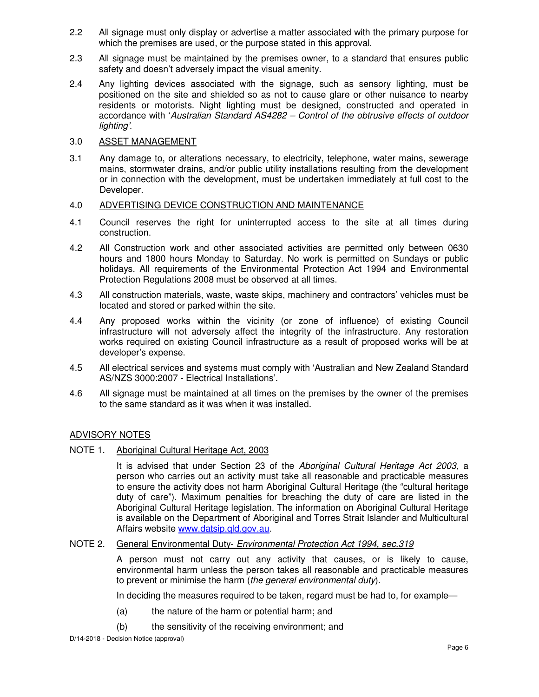- 2.2 All signage must only display or advertise a matter associated with the primary purpose for which the premises are used, or the purpose stated in this approval.
- 2.3 All signage must be maintained by the premises owner, to a standard that ensures public safety and doesn't adversely impact the visual amenity.
- 2.4 Any lighting devices associated with the signage, such as sensory lighting, must be positioned on the site and shielded so as not to cause glare or other nuisance to nearby residents or motorists. Night lighting must be designed, constructed and operated in accordance with 'Australian Standard AS4282 – Control of the obtrusive effects of outdoor lighting'.

## 3.0 ASSET MANAGEMENT

3.1 Any damage to, or alterations necessary, to electricity, telephone, water mains, sewerage mains, stormwater drains, and/or public utility installations resulting from the development or in connection with the development, must be undertaken immediately at full cost to the Developer.

## 4.0 ADVERTISING DEVICE CONSTRUCTION AND MAINTENANCE

- 4.1 Council reserves the right for uninterrupted access to the site at all times during construction.
- 4.2 All Construction work and other associated activities are permitted only between 0630 hours and 1800 hours Monday to Saturday. No work is permitted on Sundays or public holidays. All requirements of the Environmental Protection Act 1994 and Environmental Protection Regulations 2008 must be observed at all times.
- 4.3 All construction materials, waste, waste skips, machinery and contractors' vehicles must be located and stored or parked within the site.
- 4.4 Any proposed works within the vicinity (or zone of influence) of existing Council infrastructure will not adversely affect the integrity of the infrastructure. Any restoration works required on existing Council infrastructure as a result of proposed works will be at developer's expense.
- 4.5 All electrical services and systems must comply with 'Australian and New Zealand Standard AS/NZS 3000:2007 - Electrical Installations'.
- 4.6 All signage must be maintained at all times on the premises by the owner of the premises to the same standard as it was when it was installed.

## ADVISORY NOTES

NOTE 1. Aboriginal Cultural Heritage Act, 2003

It is advised that under Section 23 of the Aboriginal Cultural Heritage Act 2003, a person who carries out an activity must take all reasonable and practicable measures to ensure the activity does not harm Aboriginal Cultural Heritage (the "cultural heritage duty of care"). Maximum penalties for breaching the duty of care are listed in the Aboriginal Cultural Heritage legislation. The information on Aboriginal Cultural Heritage is available on the Department of Aboriginal and Torres Strait Islander and Multicultural Affairs website www.datsip.qld.gov.au.

## NOTE 2. General Environmental Duty- Environmental Protection Act 1994, sec.319

 A person must not carry out any activity that causes, or is likely to cause, environmental harm unless the person takes all reasonable and practicable measures to prevent or minimise the harm (the general environmental duty).

In deciding the measures required to be taken, regard must be had to, for example—

- (a) the nature of the harm or potential harm; and
- (b) the sensitivity of the receiving environment; and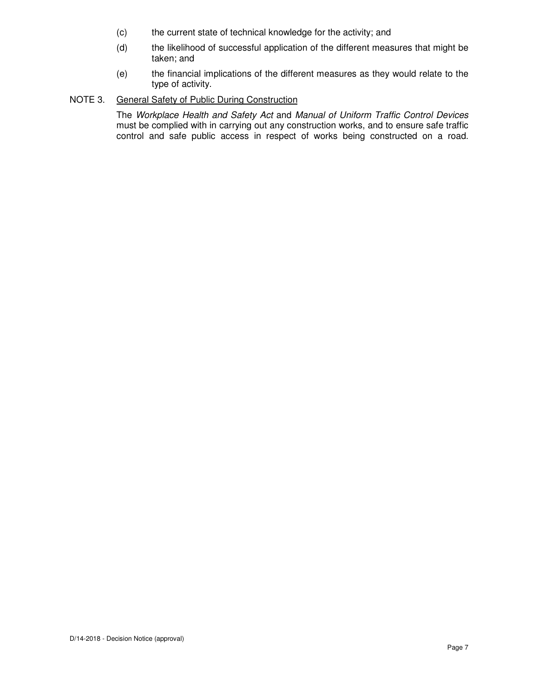- (c) the current state of technical knowledge for the activity; and
- (d) the likelihood of successful application of the different measures that might be taken; and
- (e) the financial implications of the different measures as they would relate to the type of activity.

## NOTE 3. General Safety of Public During Construction

 The Workplace Health and Safety Act and Manual of Uniform Traffic Control Devices must be complied with in carrying out any construction works, and to ensure safe traffic control and safe public access in respect of works being constructed on a road.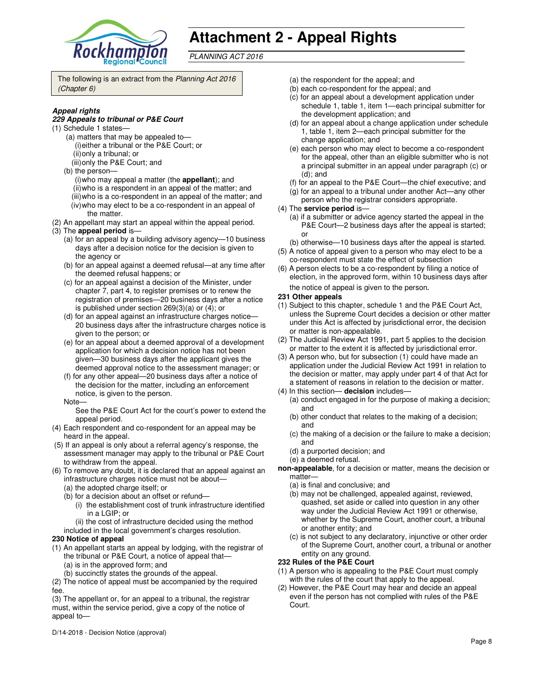

# **Attachment 2 - Appeal Rights**

PLANNING ACT 2016

The following is an extract from the Planning Act 2016 (Chapter 6)

#### **Appeal rights**

#### **229 Appeals to tribunal or P&E Court**

- (1) Schedule 1 states—
	- (a) matters that may be appealed to— (i) either a tribunal or the P&E Court; or (ii) only a tribunal; or
	- (iii) only the P&E Court; and
	- (b) the person—
		- (i) who may appeal a matter (the **appellant**); and
		- (ii) who is a respondent in an appeal of the matter; and
		- (iii) who is a co-respondent in an appeal of the matter; and
	- (iv) who may elect to be a co-respondent in an appeal of the matter.
- (2) An appellant may start an appeal within the appeal period.
- (3) The **appeal period** is—
	- (a) for an appeal by a building advisory agency—10 business days after a decision notice for the decision is given to the agency or
	- (b) for an appeal against a deemed refusal—at any time after the deemed refusal happens; or
	- (c) for an appeal against a decision of the Minister, under chapter 7, part 4, to register premises or to renew the registration of premises—20 business days after a notice is published under section 269(3)(a) or (4); or
	- (d) for an appeal against an infrastructure charges notice— 20 business days after the infrastructure charges notice is given to the person; or
	- (e) for an appeal about a deemed approval of a development application for which a decision notice has not been given—30 business days after the applicant gives the deemed approval notice to the assessment manager; or
	- (f) for any other appeal—20 business days after a notice of the decision for the matter, including an enforcement notice, is given to the person.

Note—

See the P&E Court Act for the court's power to extend the appeal period.

- (4) Each respondent and co-respondent for an appeal may be heard in the appeal.
- (5) If an appeal is only about a referral agency's response, the assessment manager may apply to the tribunal or P&E Court to withdraw from the appeal.
- (6) To remove any doubt, it is declared that an appeal against an infrastructure charges notice must not be about—
	- (a) the adopted charge itself; or
	- (b) for a decision about an offset or refund—
		- (i) the establishment cost of trunk infrastructure identified in a LGIP; or
	- (ii) the cost of infrastructure decided using the method
	- included in the local government's charges resolution.

## **230 Notice of appeal**

- (1) An appellant starts an appeal by lodging, with the registrar of the tribunal or P&E Court, a notice of appeal that—
	- (a) is in the approved form; and
	- (b) succinctly states the grounds of the appeal.

(2) The notice of appeal must be accompanied by the required fee.

(3) The appellant or, for an appeal to a tribunal, the registrar must, within the service period, give a copy of the notice of appeal to—

D/14-2018 - Decision Notice (approval)

- (a) the respondent for the appeal; and
- (b) each co-respondent for the appeal; and
- (c) for an appeal about a development application under schedule 1, table 1, item 1—each principal submitter for the development application; and
- (d) for an appeal about a change application under schedule 1, table 1, item 2—each principal submitter for the change application; and
- (e) each person who may elect to become a co-respondent for the appeal, other than an eligible submitter who is not a principal submitter in an appeal under paragraph (c) or (d); and
- (f) for an appeal to the P&E Court—the chief executive; and
- (g) for an appeal to a tribunal under another Act—any other person who the registrar considers appropriate.
- (4) The **service period** is—
	- (a) if a submitter or advice agency started the appeal in the P&E Court—2 business days after the appeal is started; or
	- (b) otherwise—10 business days after the appeal is started.
- (5) A notice of appeal given to a person who may elect to be a co-respondent must state the effect of subsection
- (6) A person elects to be a co-respondent by filing a notice of election, in the approved form, within 10 business days after the notice of appeal is given to the person*.*

#### **231 Other appeals**

- (1) Subject to this chapter, schedule 1 and the P&E Court Act, unless the Supreme Court decides a decision or other matter under this Act is affected by jurisdictional error, the decision or matter is non-appealable.
- (2) The Judicial Review Act 1991, part 5 applies to the decision or matter to the extent it is affected by jurisdictional error.
- (3) A person who, but for subsection (1) could have made an application under the Judicial Review Act 1991 in relation to the decision or matter, may apply under part 4 of that Act for a statement of reasons in relation to the decision or matter.
- (4) In this section— **decision** includes—
- (a) conduct engaged in for the purpose of making a decision; and
	- (b) other conduct that relates to the making of a decision; and
	- (c) the making of a decision or the failure to make a decision; and
	- (d) a purported decision; and
	- (e) a deemed refusal.
- **non-appealable**, for a decision or matter, means the decision or matter—
	- (a) is final and conclusive; and
	- (b) may not be challenged, appealed against, reviewed, quashed, set aside or called into question in any other way under the Judicial Review Act 1991 or otherwise, whether by the Supreme Court, another court, a tribunal or another entity; and
	- (c) is not subject to any declaratory, injunctive or other order of the Supreme Court, another court, a tribunal or another entity on any ground.

### **232 Rules of the P&E Court**

- (1) A person who is appealing to the P&E Court must comply with the rules of the court that apply to the appeal.
- (2) However, the P&E Court may hear and decide an appeal even if the person has not complied with rules of the P&E Court.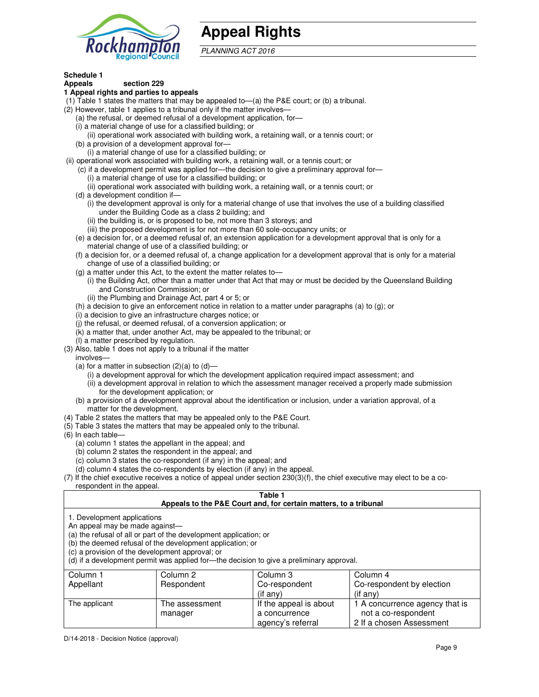

## **Appeal Rights**

PLANNING ACT 2016

#### **Schedule 1 Appeals section 229**

## **1 Appeal rights and parties to appeals**

- (1) Table 1 states the matters that may be appealed to—(a) the P&E court; or (b) a tribunal.
- (2) However, table 1 applies to a tribunal only if the matter involves—
	- (a) the refusal, or deemed refusal of a development application, for—
	- (i) a material change of use for a classified building; or
	- (ii) operational work associated with building work, a retaining wall, or a tennis court; or (b) a provision of a development approval for—
	- (i) a material change of use for a classified building; or
- (ii) operational work associated with building work, a retaining wall, or a tennis court; or
	- (c) if a development permit was applied for—the decision to give a preliminary approval for—
		- (i) a material change of use for a classified building; or
		- (ii) operational work associated with building work, a retaining wall, or a tennis court; or
	- (d) a development condition if—
		- (i) the development approval is only for a material change of use that involves the use of a building classified under the Building Code as a class 2 building; and
		- (ii) the building is, or is proposed to be, not more than 3 storeys; and
		- (iii) the proposed development is for not more than 60 sole-occupancy units; or
	- (e) a decision for, or a deemed refusal of, an extension application for a development approval that is only for a material change of use of a classified building; or
	- (f) a decision for, or a deemed refusal of, a change application for a development approval that is only for a material change of use of a classified building; or
	- (g) a matter under this Act, to the extent the matter relates to—
		- (i) the Building Act, other than a matter under that Act that may or must be decided by the Queensland Building and Construction Commission; or
		- (ii) the Plumbing and Drainage Act, part 4 or 5; or
	- (h) a decision to give an enforcement notice in relation to a matter under paragraphs (a) to (g); or
	- (i) a decision to give an infrastructure charges notice; or
	- (j) the refusal, or deemed refusal, of a conversion application; or
	- (k) a matter that, under another Act, may be appealed to the tribunal; or
	- (l) a matter prescribed by regulation.
- (3) Also, table 1 does not apply to a tribunal if the matter
- involves—
	- (a) for a matter in subsection  $(2)(a)$  to  $(d)$ 
		- (i) a development approval for which the development application required impact assessment; and
		- (ii) a development approval in relation to which the assessment manager received a properly made submission for the development application; or
	- (b) a provision of a development approval about the identification or inclusion, under a variation approval, of a matter for the development.
- (4) Table 2 states the matters that may be appealed only to the P&E Court.
- (5) Table 3 states the matters that may be appealed only to the tribunal.
- (6) In each table—
	- (a) column 1 states the appellant in the appeal; and
	- (b) column 2 states the respondent in the appeal; and
	- (c) column 3 states the co-respondent (if any) in the appeal; and
	- (d) column 4 states the co-respondents by election (if any) in the appeal.
- (7) If the chief executive receives a notice of appeal under section 230(3)(f), the chief executive may elect to be a corespondent in the appeal.

## **Table 1**

| Appeals to the P&E Court and, for certain matters, to a tribunal |
|------------------------------------------------------------------|
|                                                                  |

1. Development applications

An appeal may be made against—

(a) the refusal of all or part of the development application; or

(b) the deemed refusal of the development application; or

(c) a provision of the development approval; or

(d) if a development permit was applied for—the decision to give a preliminary approval.

| Column 1      | Column 2       | Column 3               | Column 4                       |
|---------------|----------------|------------------------|--------------------------------|
| Appellant     | Respondent     | Co-respondent          | Co-respondent by election      |
|               |                | $($ if any $)$         | $($ if any $)$                 |
| The applicant | The assessment | If the appeal is about | 1 A concurrence agency that is |
|               | manager        | a concurrence          | not a co-respondent            |
|               |                | agency's referral      | 2 If a chosen Assessment       |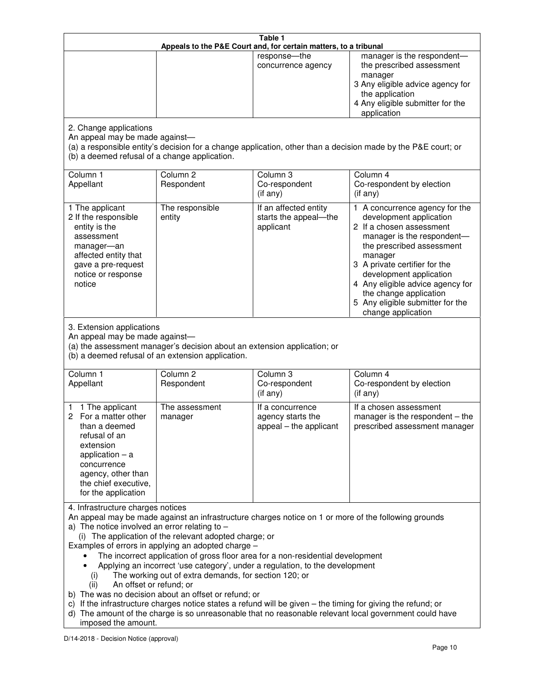|                                                                                                                                                                                                    |                                                                                                                                                                                                                               | Table 1<br>Appeals to the P&E Court and, for certain matters, to a tribunal                                                                                                                                                                                                     |                                                                                                                                                                                                                                                                                                                                                 |
|----------------------------------------------------------------------------------------------------------------------------------------------------------------------------------------------------|-------------------------------------------------------------------------------------------------------------------------------------------------------------------------------------------------------------------------------|---------------------------------------------------------------------------------------------------------------------------------------------------------------------------------------------------------------------------------------------------------------------------------|-------------------------------------------------------------------------------------------------------------------------------------------------------------------------------------------------------------------------------------------------------------------------------------------------------------------------------------------------|
|                                                                                                                                                                                                    |                                                                                                                                                                                                                               | response-the<br>concurrence agency                                                                                                                                                                                                                                              | manager is the respondent-<br>the prescribed assessment<br>manager<br>3 Any eligible advice agency for<br>the application<br>4 Any eligible submitter for the<br>application                                                                                                                                                                    |
| 2. Change applications<br>An appeal may be made against-<br>(b) a deemed refusal of a change application.                                                                                          |                                                                                                                                                                                                                               |                                                                                                                                                                                                                                                                                 | (a) a responsible entity's decision for a change application, other than a decision made by the P&E court; or                                                                                                                                                                                                                                   |
| Column 1<br>Appellant                                                                                                                                                                              | Column <sub>2</sub><br>Respondent                                                                                                                                                                                             | Column 3<br>Co-respondent<br>(if any)                                                                                                                                                                                                                                           | Column 4<br>Co-respondent by election<br>(if any)                                                                                                                                                                                                                                                                                               |
| 1 The applicant<br>2 If the responsible<br>entity is the<br>assessment<br>manager-an<br>affected entity that<br>gave a pre-request<br>notice or response<br>notice                                 | The responsible<br>entity                                                                                                                                                                                                     | If an affected entity<br>starts the appeal-the<br>applicant                                                                                                                                                                                                                     | 1 A concurrence agency for the<br>development application<br>2 If a chosen assessment<br>manager is the respondent-<br>the prescribed assessment<br>manager<br>3 A private certifier for the<br>development application<br>4 Any eligible advice agency for<br>the change application<br>5 Any eligible submitter for the<br>change application |
| 3. Extension applications<br>An appeal may be made against-<br>Column <sub>1</sub><br>Appellant                                                                                                    | (a) the assessment manager's decision about an extension application; or<br>(b) a deemed refusal of an extension application.<br>Column <sub>2</sub><br>Respondent                                                            | Column 3<br>Co-respondent                                                                                                                                                                                                                                                       | Column 4<br>Co-respondent by election                                                                                                                                                                                                                                                                                                           |
| 1 The applicant<br>1<br>For a matter other<br>than a deemed<br>refusal of an<br>extension<br>application $-$ a<br>concurrence<br>agency, other than<br>the chief executive,<br>for the application | The assessment<br>manager                                                                                                                                                                                                     | (if any)<br>If a concurrence<br>agency starts the<br>appeal - the applicant                                                                                                                                                                                                     | (if any)<br>If a chosen assessment<br>manager is the respondent $-$ the<br>prescribed assessment manager                                                                                                                                                                                                                                        |
| 4. Infrastructure charges notices<br>a) The notice involved an error relating to $-$<br>(i)<br>An offset or refund; or<br>(ii)<br>imposed the amount.                                              | (i) The application of the relevant adopted charge; or<br>Examples of errors in applying an adopted charge -<br>The working out of extra demands, for section 120; or<br>b) The was no decision about an offset or refund; or | The incorrect application of gross floor area for a non-residential development<br>Applying an incorrect 'use category', under a regulation, to the development<br>c) If the infrastructure charges notice states a refund will be given – the timing for giving the refund; or | An appeal may be made against an infrastructure charges notice on 1 or more of the following grounds<br>d) The amount of the charge is so unreasonable that no reasonable relevant local government could have                                                                                                                                  |
| D/14-2018 - Decision Notice (approval)                                                                                                                                                             |                                                                                                                                                                                                                               |                                                                                                                                                                                                                                                                                 | Page 10                                                                                                                                                                                                                                                                                                                                         |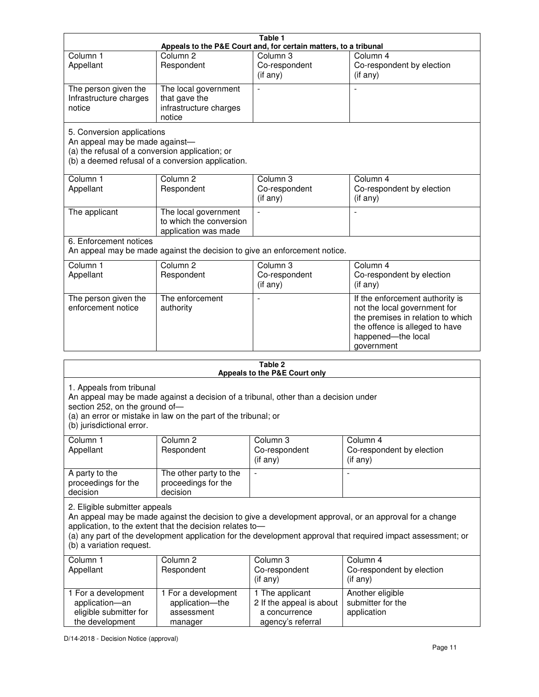| Table 1                                                                                             |                                                                                                                                                                      |                                                        |                                                                                                                                                                            |  |  |
|-----------------------------------------------------------------------------------------------------|----------------------------------------------------------------------------------------------------------------------------------------------------------------------|--------------------------------------------------------|----------------------------------------------------------------------------------------------------------------------------------------------------------------------------|--|--|
| Appeals to the P&E Court and, for certain matters, to a tribunal                                    |                                                                                                                                                                      |                                                        |                                                                                                                                                                            |  |  |
| Column 1                                                                                            | Column <sub>2</sub>                                                                                                                                                  | Column <sub>3</sub>                                    | Column 4                                                                                                                                                                   |  |  |
| Appellant                                                                                           | Respondent                                                                                                                                                           | Co-respondent<br>(i f any)                             | Co-respondent by election<br>(if any)                                                                                                                                      |  |  |
| The person given the<br>Infrastructure charges<br>notice                                            | The local government<br>that gave the<br>infrastructure charges<br>notice                                                                                            |                                                        |                                                                                                                                                                            |  |  |
|                                                                                                     | 5. Conversion applications<br>An appeal may be made against-<br>(a) the refusal of a conversion application; or<br>(b) a deemed refusal of a conversion application. |                                                        |                                                                                                                                                                            |  |  |
| Column 1                                                                                            | Column <sub>2</sub>                                                                                                                                                  | Column <sub>3</sub>                                    | Column 4                                                                                                                                                                   |  |  |
| Appellant                                                                                           | Respondent                                                                                                                                                           | Co-respondent<br>(if any)                              | Co-respondent by election<br>(if any)                                                                                                                                      |  |  |
| The applicant                                                                                       | The local government<br>to which the conversion<br>application was made                                                                                              |                                                        |                                                                                                                                                                            |  |  |
| 6. Enforcement notices<br>An appeal may be made against the decision to give an enforcement notice. |                                                                                                                                                                      |                                                        |                                                                                                                                                                            |  |  |
| Column <sub>1</sub><br>Appellant                                                                    | Column <sub>2</sub><br>Respondent                                                                                                                                    | Column <sub>3</sub><br>Co-respondent<br>$($ if any $)$ | Column 4<br>Co-respondent by election<br>(if any)                                                                                                                          |  |  |
| The person given the<br>enforcement notice                                                          | The enforcement<br>authority                                                                                                                                         |                                                        | If the enforcement authority is<br>not the local government for<br>the premises in relation to which<br>the offence is alleged to have<br>happened-the local<br>government |  |  |
| $T - L L - R$                                                                                       |                                                                                                                                                                      |                                                        |                                                                                                                                                                            |  |  |

| Table 2<br>Appeals to the P&E Court only                                                                                                                                                                                                                                                                                                        |                                                                 |                                                                                   |                                                      |  |
|-------------------------------------------------------------------------------------------------------------------------------------------------------------------------------------------------------------------------------------------------------------------------------------------------------------------------------------------------|-----------------------------------------------------------------|-----------------------------------------------------------------------------------|------------------------------------------------------|--|
| 1. Appeals from tribunal<br>An appeal may be made against a decision of a tribunal, other than a decision under<br>section 252, on the ground of-<br>(a) an error or mistake in law on the part of the tribunal; or<br>(b) jurisdictional error.                                                                                                |                                                                 |                                                                                   |                                                      |  |
| Column 1<br>Appellant                                                                                                                                                                                                                                                                                                                           | Column 2<br>Respondent                                          | Column 3<br>Co-respondent<br>$(i f \n\text{any})$                                 | Column 4<br>Co-respondent by election<br>(if any)    |  |
| A party to the<br>proceedings for the<br>decision                                                                                                                                                                                                                                                                                               | The other party to the<br>proceedings for the<br>decision       | $\blacksquare$                                                                    |                                                      |  |
| 2. Eligible submitter appeals<br>An appeal may be made against the decision to give a development approval, or an approval for a change<br>application, to the extent that the decision relates to-<br>(a) any part of the development application for the development approval that required impact assessment; or<br>(b) a variation request. |                                                                 |                                                                                   |                                                      |  |
| Column 1<br>Appellant                                                                                                                                                                                                                                                                                                                           | Column <sub>2</sub><br>Respondent                               | Column 3<br>Co-respondent<br>(i f any)                                            | Column 4<br>Co-respondent by election<br>(if any)    |  |
| 1 For a development<br>application-an<br>eligible submitter for<br>the development                                                                                                                                                                                                                                                              | 1 For a development<br>application-the<br>assessment<br>manager | 1 The applicant<br>2 If the appeal is about<br>a concurrence<br>agency's referral | Another eligible<br>submitter for the<br>application |  |

D/14-2018 - Decision Notice (approval)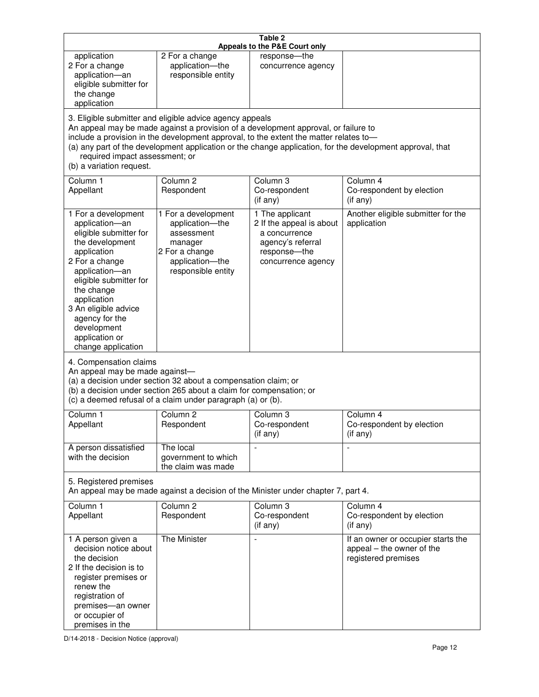| Table 2<br>Appeals to the P&E Court only                                                                                                                                                                                                                                                      |                                                                                                                                                                                                                                                                                                                                                                                        |                                                                                                                         |                                                                                        |  |  |
|-----------------------------------------------------------------------------------------------------------------------------------------------------------------------------------------------------------------------------------------------------------------------------------------------|----------------------------------------------------------------------------------------------------------------------------------------------------------------------------------------------------------------------------------------------------------------------------------------------------------------------------------------------------------------------------------------|-------------------------------------------------------------------------------------------------------------------------|----------------------------------------------------------------------------------------|--|--|
| application<br>2 For a change<br>application-an<br>eligible submitter for<br>the change<br>application                                                                                                                                                                                        | 2 For a change<br>application-the<br>responsible entity                                                                                                                                                                                                                                                                                                                                | response-the<br>concurrence agency                                                                                      |                                                                                        |  |  |
| (b) a variation request.                                                                                                                                                                                                                                                                      | 3. Eligible submitter and eligible advice agency appeals<br>An appeal may be made against a provision of a development approval, or failure to<br>include a provision in the development approval, to the extent the matter relates to-<br>(a) any part of the development application or the change application, for the development approval, that<br>required impact assessment; or |                                                                                                                         |                                                                                        |  |  |
| Column <sub>1</sub><br>Appellant                                                                                                                                                                                                                                                              | Column <sub>2</sub><br>Respondent                                                                                                                                                                                                                                                                                                                                                      | Column 3<br>Co-respondent<br>(if any)                                                                                   | Column 4<br>Co-respondent by election<br>(if any)                                      |  |  |
| 1 For a development<br>application-an<br>eligible submitter for<br>the development<br>application<br>2 For a change<br>application-an<br>eligible submitter for<br>the change<br>application<br>3 An eligible advice<br>agency for the<br>development<br>application or<br>change application | 1 For a development<br>application-the<br>assessment<br>manager<br>2 For a change<br>application-the<br>responsible entity                                                                                                                                                                                                                                                             | 1 The applicant<br>2 If the appeal is about<br>a concurrence<br>agency's referral<br>response-the<br>concurrence agency | Another eligible submitter for the<br>application                                      |  |  |
|                                                                                                                                                                                                                                                                                               | 4. Compensation claims<br>An appeal may be made against-<br>(a) a decision under section 32 about a compensation claim; or<br>(b) a decision under section 265 about a claim for compensation; or<br>(c) a deemed refusal of a claim under paragraph (a) or (b).                                                                                                                       |                                                                                                                         |                                                                                        |  |  |
| Column 1<br>Appellant                                                                                                                                                                                                                                                                         | Column <sub>2</sub><br>Respondent                                                                                                                                                                                                                                                                                                                                                      | Column <sub>3</sub><br>Co-respondent<br>(if any)                                                                        | Column 4<br>Co-respondent by election<br>$(i f \n\text{any})$                          |  |  |
| A person dissatisfied<br>with the decision                                                                                                                                                                                                                                                    | The local<br>government to which<br>the claim was made                                                                                                                                                                                                                                                                                                                                 |                                                                                                                         |                                                                                        |  |  |
| 5. Registered premises<br>An appeal may be made against a decision of the Minister under chapter 7, part 4.                                                                                                                                                                                   |                                                                                                                                                                                                                                                                                                                                                                                        |                                                                                                                         |                                                                                        |  |  |
| Column 1<br>Appellant                                                                                                                                                                                                                                                                         | Column <sub>2</sub><br>Respondent                                                                                                                                                                                                                                                                                                                                                      | Column 3<br>Co-respondent<br>(if any)                                                                                   | Column 4<br>Co-respondent by election<br>(if any)                                      |  |  |
| 1 A person given a<br>decision notice about<br>the decision<br>2 If the decision is to<br>register premises or<br>renew the<br>registration of<br>premises-an owner<br>or occupier of<br>premises in the                                                                                      | The Minister                                                                                                                                                                                                                                                                                                                                                                           | $\overline{a}$                                                                                                          | If an owner or occupier starts the<br>appeal – the owner of the<br>registered premises |  |  |

D/14-2018 - Decision Notice (approval)